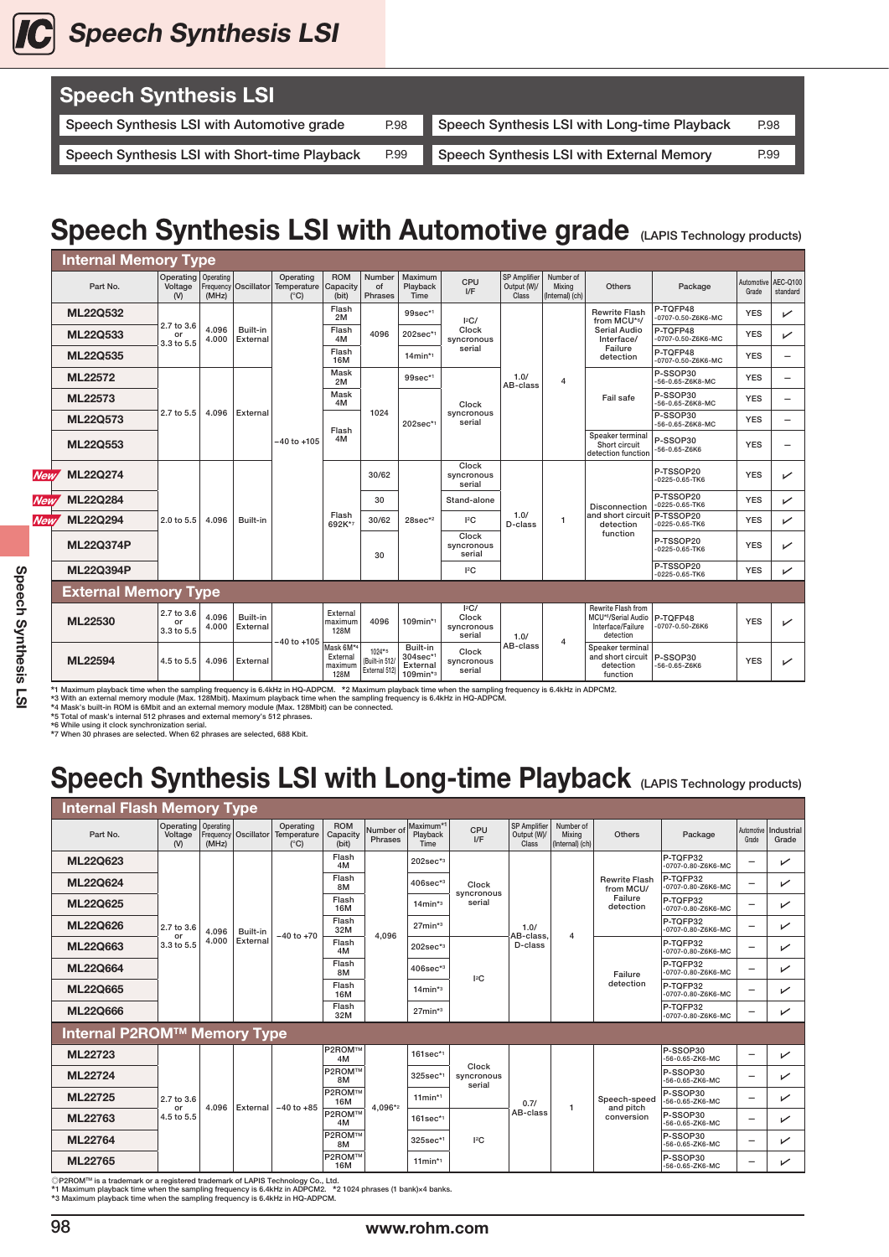

| <b>Speech Synthesis LSI</b>                   |      |                                              |      |
|-----------------------------------------------|------|----------------------------------------------|------|
| Speech Synthesis LSI with Automotive grade    | P.98 | Speech Synthesis LSI with Long-time Playback | P.98 |
|                                               |      |                                              |      |
| Speech Synthesis LSI with Short-time Playback | P.99 | Speech Synthesis LSI with External Memory    | P.99 |

## Speech Synthesis LSI with Automotive grade (LAPIS Technology products)

|            | <b>Internal Memory Type</b> |                                               |                |                             |                                                    |                                                      |                                             |                                                 |                                      |                                             |                                        |                                                                                       |                                   |                              |              |
|------------|-----------------------------|-----------------------------------------------|----------------|-----------------------------|----------------------------------------------------|------------------------------------------------------|---------------------------------------------|-------------------------------------------------|--------------------------------------|---------------------------------------------|----------------------------------------|---------------------------------------------------------------------------------------|-----------------------------------|------------------------------|--------------|
|            | Part No.                    | Operating   Operating<br>Voltage<br>$($ V $)$ | (MHz)          | <b>Frequency Oscillator</b> | Operating<br>Temperature Capacity<br>$(^{\circ}C)$ | <b>ROM</b><br>(bit)                                  | Number<br>of<br>Phrases                     | Maximum<br>Playback<br>Time                     | CPU<br>I/F                           | <b>SP Amplifier</b><br>Output (W)/<br>Class | Number of<br>Mixina<br>(Internal) (ch) | Others                                                                                | Package                           | Automotive AEC-Q100<br>Grade | standard     |
|            | <b>ML22Q532</b>             |                                               |                |                             |                                                    | Flash<br>2M                                          |                                             | $99$ sec* <sup>1</sup>                          | 2C/                                  |                                             |                                        | <b>Rewrite Flash</b><br>from MCU*6/                                                   | P-TQFP48<br>-0707-0.50-Z6K6-MC    | <b>YES</b>                   | ✓            |
|            | ML22Q533                    | 2.7 to 3.6<br>or<br>3.3 to 5.5                | 4.096<br>4.000 | Built-in<br>External        |                                                    | Flash<br>4M                                          | 4096                                        | 202sec*1                                        | Clock<br>syncronous                  |                                             | <b>Serial Audio</b><br>Interface/      | P-TOFP48<br>0707-0.50-Z6K6-MC                                                         | <b>YES</b>                        | ✓                            |              |
|            | ML22Q535                    |                                               |                |                             |                                                    | Flash<br><b>16M</b>                                  |                                             | $14$ min*1                                      | serial                               |                                             |                                        | Failure<br>detection                                                                  | P-TQFP48<br>-0707-0.50-Z6K6-MC    | <b>YES</b>                   | -            |
|            | ML22572<br>ML22573          |                                               |                |                             | $-40$ to $+105$                                    | Mask<br>2M                                           | 1024                                        | 99sec*1                                         | Clock<br>syncronous<br>serial        | 1.0/<br>AB-class                            | $\overline{4}$                         | Fail safe                                                                             | $P-SSOP30$<br>-56-0.65-Z6K8-MC    | <b>YES</b>                   | -            |
|            |                             |                                               |                | External                    |                                                    | Mask<br>4M                                           |                                             | 202sec*1                                        |                                      |                                             |                                        |                                                                                       | P-SSOP30<br>-56-0.65-Z6K8-MC      | <b>YES</b>                   | $\equiv$     |
|            | ML22Q573                    | 2.7 to 5.5                                    | 4.096          |                             |                                                    | Flash<br>4M                                          |                                             |                                                 |                                      |                                             |                                        |                                                                                       | P-SSOP30<br>-56-0.65-Z6K8-MC      | <b>YES</b>                   | -            |
|            | ML22Q553                    |                                               |                |                             |                                                    |                                                      |                                             |                                                 |                                      |                                             |                                        | Speaker terminal<br>Short circuit<br>detection function                               | P-SSOP30<br>-56-0.65-Z6K6         | <b>YES</b>                   |              |
| <b>New</b> | <b>ML22Q274</b>             |                                               |                |                             |                                                    |                                                      | 30/62                                       |                                                 | Clock<br>syncronous<br>serial        |                                             |                                        |                                                                                       | P-TSSOP20<br>-0225-0.65-TK6       | <b>YES</b>                   | ✓            |
| <b>New</b> | <b>ML22Q284</b>             |                                               |                |                             |                                                    |                                                      | 30                                          | $28sec*2$                                       | Stand-alone                          | 1.0/<br>D-class                             | $\mathbf{1}$                           | <b>Disconnection</b><br>and short circuit P-TSSOP20<br>detection<br>function          | P-TSSOP20<br>$-0225 - 0.65 - TK6$ | <b>YES</b>                   | $\checkmark$ |
| New.       | <b>ML22Q294</b>             | 2.0 to 5.5                                    | 4.096          | Built-in                    |                                                    | Flash<br>692K*7                                      | 30/62                                       |                                                 | 12C                                  |                                             |                                        |                                                                                       | -0225-0.65-TK6                    | <b>YES</b>                   | ✓            |
|            | <b>ML22Q374P</b>            |                                               |                |                             |                                                    |                                                      | 30                                          |                                                 | Clock<br>syncronous<br>serial        |                                             |                                        |                                                                                       | P-TSSOP20<br>-0225-0.65-TK6       | <b>YES</b>                   | ✓            |
|            | <b>ML22Q394P</b>            |                                               |                |                             |                                                    |                                                      |                                             |                                                 | 12C                                  |                                             |                                        |                                                                                       | P-TSSOP20<br>-0225-0.65-TK6       | <b>YES</b>                   | ✓            |
|            | <b>External Memory Type</b> |                                               |                |                             |                                                    |                                                      |                                             |                                                 |                                      |                                             |                                        |                                                                                       |                                   |                              |              |
|            | ML22530                     | 2.7 to 3.6<br>or<br>3.3 to 5.5                | 4.096<br>4.000 | Built-in<br>External        | -40 to +105                                        | External<br>maximum<br>128M                          | 4096                                        | $109$ min*1                                     | 2C/<br>Clock<br>syncronous<br>serial | 1.0/                                        | $\overline{4}$                         | Rewrite Flash from<br>MCU*6/Serial Audio   P-TQFP48<br>Interface/Failure<br>detection | -0707-0.50-Z6K6                   | <b>YES</b>                   | ↙            |
|            | ML22594                     | 4.5 to 5.5                                    | 4.096          | External                    |                                                    | Mask 6M <sup>*4</sup><br>External<br>maximum<br>128M | $1024*5$<br>(Built-in 512)<br>External 512) | Built-in<br>304sec*1<br>External<br>$109$ min*3 | Clock<br>syncronous<br>serial        | AB-class                                    |                                        | Speaker terminal<br>and short circuit   P-SSOP30<br>detection<br>function             | -56-0.65-Z6K6                     | <b>YES</b>                   | ✓            |

\*1 Maximum playback time when the sampling frequency is 6.4kHz in HQ-ADPCM. \*2 Maximum playback time when the sampling frequency is 6.4kHz in ADPCM2<br>\*3 With an external memory module (Max. 128Mbit). Maximum playback time w

## Speech Synthesis LSI with Long-time Playback (LAPIS Technology products)

| <b>Internal Flash Memory Type</b>                                                                |                                         |       |                        |                                           |                                 |                      |                               |                               |                                             |                                               |                                   |                                |       |                                  |
|--------------------------------------------------------------------------------------------------|-----------------------------------------|-------|------------------------|-------------------------------------------|---------------------------------|----------------------|-------------------------------|-------------------------------|---------------------------------------------|-----------------------------------------------|-----------------------------------|--------------------------------|-------|----------------------------------|
| Part No.                                                                                         | Operating   Operating<br>Voltage<br>(N) | (MHz) | Frequency   Oscillator | Operating<br>Temperature<br>$(^{\circ}C)$ | <b>ROM</b><br>Capacity<br>(bit) | Number of<br>Phrases | Maximum*1<br>Playback<br>Time | CPU<br>I/F                    | <b>SP Amplifier</b><br>Output (W)/<br>Class | Number of<br><b>Mixing</b><br>(Internal) (ch) | Others                            | Package                        | Grade | Automotive   Industrial<br>Grade |
| <b>ML22Q623</b>                                                                                  |                                         |       |                        |                                           | Flash<br>4M                     |                      | $202$ sec <sup>*3</sup>       |                               |                                             |                                               |                                   | P-TQFP32<br>-0707-0.80-Z6K6-MC | -     | ↙                                |
| <b>ML22Q624</b>                                                                                  |                                         |       |                        |                                           | Flash<br>8M                     | 4.096                | $406$ sec* $3$                | Clock                         | 1.0/<br>AB-class,<br>D-class                | $\overline{4}$                                | <b>Rewrite Flash</b><br>from MCU/ | P-TOFP32<br>-0707-0.80-Z6K6-MC |       | ↙                                |
| <b>ML22Q625</b>                                                                                  | 2.7 to 3.6<br>or<br>3.3 to 5.5          |       |                        |                                           | Flash<br>16M                    |                      | $14$ min* $3$                 | syncronous<br>serial          |                                             |                                               | Failure<br>detection              | P-TOFP32<br>-0707-0.80-Z6K6-MC | -     | ↙                                |
| ML22Q626                                                                                         |                                         | 4.096 | Built-in               | $-40$ to $+70$                            | Flash<br>32M                    |                      | $27$ min* $3$                 |                               |                                             |                                               |                                   | P-TOFP32<br>-0707-0.80-Z6K6-MC | -     | ✓                                |
| ML22Q663                                                                                         |                                         | 4.000 | External               |                                           | Flash<br>4M                     |                      | $202sec*3$                    | $ ^{2}C$                      |                                             |                                               | Failure<br>detection              | P-TQFP32<br>-0707-0.80-Z6K6-MC | -     | ✓                                |
| <b>ML22Q664</b>                                                                                  |                                         |       |                        |                                           | Flash<br>8M                     |                      | $406sec^{*3}$                 |                               |                                             |                                               |                                   | P-TQFP32<br>-0707-0.80-Z6K6-MC | -     | ✓                                |
| <b>ML22Q665</b>                                                                                  |                                         |       |                        |                                           | Flash<br><b>16M</b>             |                      | $14$ min* $3$                 |                               |                                             |                                               |                                   | P-TOFP32<br>-0707-0.80-Z6K6-MC |       | ↙                                |
| <b>ML22Q666</b>                                                                                  |                                         |       |                        |                                           | Flash<br>32M                    |                      | $27$ min* $3$                 |                               |                                             |                                               |                                   | P-TQFP32<br>-0707-0.80-Z6K6-MC |       | ↙                                |
| <b>Internal P2ROM™ Memory Type</b>                                                               |                                         |       |                        |                                           |                                 |                      |                               |                               |                                             |                                               |                                   |                                |       |                                  |
| ML22723                                                                                          |                                         |       |                        |                                           | <b>P2ROM™</b><br>4M             |                      | $161$ sec*1                   |                               |                                             |                                               |                                   | P-SSOP30<br>-56-0.65-ZK6-MC    |       | ↙                                |
| ML22724                                                                                          |                                         |       |                        |                                           | <b>P2ROM™</b><br>8M             |                      | 325sec*1                      | Clock<br>syncronous<br>serial |                                             |                                               |                                   | P-SSOP30<br>-56-0.65-ZK6-MC    |       | ↙                                |
| ML22725                                                                                          | 2.7 to 3.6<br>or                        | 4.096 | External               | $-40$ to $+85$                            | <b>P2ROM™</b><br>16M            | 4.096*2              | $11$ min*1                    |                               | 0.7/                                        |                                               | Speech-speed                      | P-SSOP30<br>-56-0.65-ZK6-MC    |       | ✓                                |
| ML22763                                                                                          | 4.5 to 5.5                              |       |                        |                                           | <b>P2ROM™</b><br>4M             |                      | $161sec*1$                    |                               | AB-class                                    | 1                                             | and pitch<br>conversion           | P-SSOP30<br>-56-0.65-ZK6-MC    |       | ↙                                |
| ML22764                                                                                          |                                         |       |                        |                                           | <b>P2ROM™</b><br>8M             |                      | 325sec*1                      | 12C                           |                                             |                                               |                                   | P-SSOP30<br>-56-0.65-ZK6-MC    |       | ✓                                |
| ML22765<br><b>DODOMIN</b> is a tradomark or a rogistored tradomark of LADIS Toobpology Co., Ltd. |                                         |       |                        |                                           | <b>P2ROM™</b><br>16M            |                      | $11$ min*1                    |                               |                                             |                                               |                                   | P-SSOP30<br>-56-0.65-ZK6-MC    |       | ↙                                |

©P2ROM™ is a trademark or a registered trademark of LAPIS Technology Co., Ltd.<br>\*1 Maximum playback time when the sampling frequency is 6.4kHz in ADPCM2. \*2 1024 phrases (1 bank)×4 banks.<br>\*3 Maximum playback time when the

98